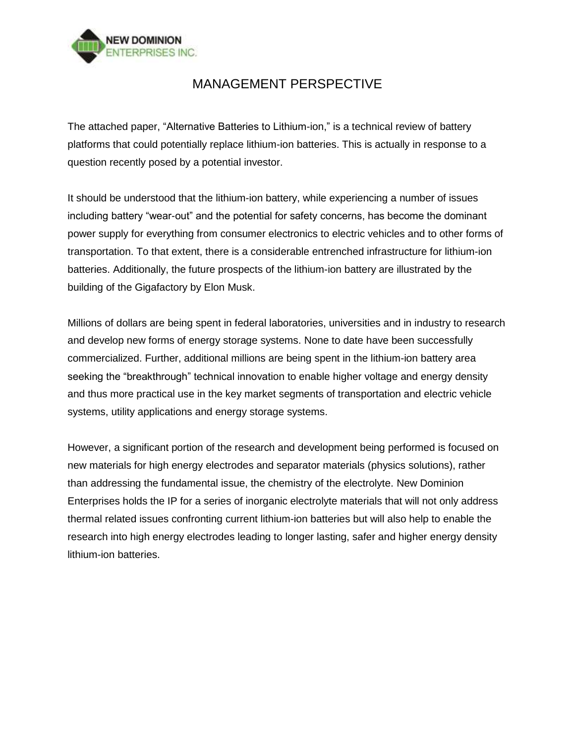

## MANAGEMENT PERSPECTIVE

The attached paper, "Alternative Batteries to Lithium-ion," is a technical review of battery platforms that could potentially replace lithium-ion batteries. This is actually in response to a question recently posed by a potential investor.

It should be understood that the lithium-ion battery, while experiencing a number of issues including battery "wear-out" and the potential for safety concerns, has become the dominant power supply for everything from consumer electronics to electric vehicles and to other forms of transportation. To that extent, there is a considerable entrenched infrastructure for lithium-ion batteries. Additionally, the future prospects of the lithium-ion battery are illustrated by the building of the Gigafactory by Elon Musk.

Millions of dollars are being spent in federal laboratories, universities and in industry to research and develop new forms of energy storage systems. None to date have been successfully commercialized. Further, additional millions are being spent in the lithium-ion battery area seeking the "breakthrough" technical innovation to enable higher voltage and energy density and thus more practical use in the key market segments of transportation and electric vehicle systems, utility applications and energy storage systems.

However, a significant portion of the research and development being performed is focused on new materials for high energy electrodes and separator materials (physics solutions), rather than addressing the fundamental issue, the chemistry of the electrolyte. New Dominion Enterprises holds the IP for a series of inorganic electrolyte materials that will not only address thermal related issues confronting current lithium-ion batteries but will also help to enable the research into high energy electrodes leading to longer lasting, safer and higher energy density lithium-ion batteries.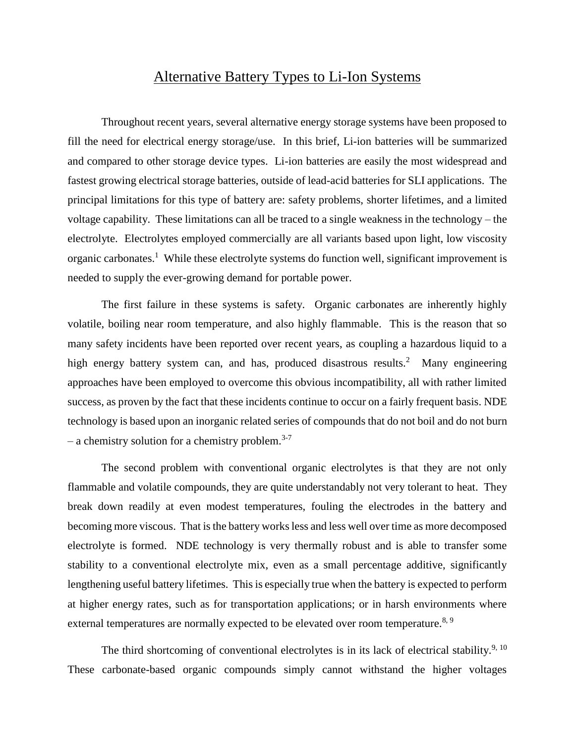## Alternative Battery Types to Li-Ion Systems

Throughout recent years, several alternative energy storage systems have been proposed to fill the need for electrical energy storage/use. In this brief, Li-ion batteries will be summarized and compared to other storage device types. Li-ion batteries are easily the most widespread and fastest growing electrical storage batteries, outside of lead-acid batteries for SLI applications. The principal limitations for this type of battery are: safety problems, shorter lifetimes, and a limited voltage capability. These limitations can all be traced to a single weakness in the technology – the electrolyte. Electrolytes employed commercially are all variants based upon light, low viscosity organic carbonates.<sup>1</sup> While these electrolyte systems do function well, significant improvement is needed to supply the ever-growing demand for portable power.

The first failure in these systems is safety. Organic carbonates are inherently highly volatile, boiling near room temperature, and also highly flammable. This is the reason that so many safety incidents have been reported over recent years, as coupling a hazardous liquid to a high energy battery system can, and has, produced disastrous results.<sup>2</sup> Many engineering approaches have been employed to overcome this obvious incompatibility, all with rather limited success, as proven by the fact that these incidents continue to occur on a fairly frequent basis. NDE technology is based upon an inorganic related series of compounds that do not boil and do not burn – a chemistry solution for a chemistry problem.<sup>3-7</sup>

The second problem with conventional organic electrolytes is that they are not only flammable and volatile compounds, they are quite understandably not very tolerant to heat. They break down readily at even modest temperatures, fouling the electrodes in the battery and becoming more viscous. That is the battery works less and less well over time as more decomposed electrolyte is formed. NDE technology is very thermally robust and is able to transfer some stability to a conventional electrolyte mix, even as a small percentage additive, significantly lengthening useful battery lifetimes. This is especially true when the battery is expected to perform at higher energy rates, such as for transportation applications; or in harsh environments where external temperatures are normally expected to be elevated over room temperature.<sup>8, 9</sup>

The third shortcoming of conventional electrolytes is in its lack of electrical stability.<sup>9, 10</sup> These carbonate-based organic compounds simply cannot withstand the higher voltages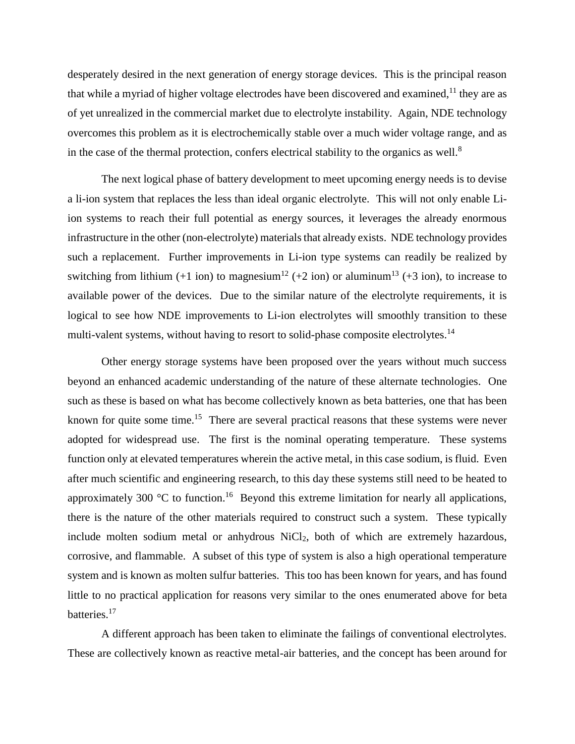desperately desired in the next generation of energy storage devices. This is the principal reason that while a myriad of higher voltage electrodes have been discovered and examined,  $11$  they are as of yet unrealized in the commercial market due to electrolyte instability. Again, NDE technology overcomes this problem as it is electrochemically stable over a much wider voltage range, and as in the case of the thermal protection, confers electrical stability to the organics as well.<sup>8</sup>

The next logical phase of battery development to meet upcoming energy needs is to devise a li-ion system that replaces the less than ideal organic electrolyte. This will not only enable Liion systems to reach their full potential as energy sources, it leverages the already enormous infrastructure in the other (non-electrolyte) materials that already exists. NDE technology provides such a replacement. Further improvements in Li-ion type systems can readily be realized by switching from lithium (+1 ion) to magnesium<sup>12</sup> (+2 ion) or aluminum<sup>13</sup> (+3 ion), to increase to available power of the devices. Due to the similar nature of the electrolyte requirements, it is logical to see how NDE improvements to Li-ion electrolytes will smoothly transition to these multi-valent systems, without having to resort to solid-phase composite electrolytes.<sup>14</sup>

Other energy storage systems have been proposed over the years without much success beyond an enhanced academic understanding of the nature of these alternate technologies. One such as these is based on what has become collectively known as beta batteries, one that has been known for quite some time.<sup>15</sup> There are several practical reasons that these systems were never adopted for widespread use. The first is the nominal operating temperature. These systems function only at elevated temperatures wherein the active metal, in this case sodium, is fluid. Even after much scientific and engineering research, to this day these systems still need to be heated to approximately 300  $\degree$ C to function.<sup>16</sup> Beyond this extreme limitation for nearly all applications, there is the nature of the other materials required to construct such a system. These typically include molten sodium metal or anhydrous NiCl<sub>2</sub>, both of which are extremely hazardous, corrosive, and flammable. A subset of this type of system is also a high operational temperature system and is known as molten sulfur batteries. This too has been known for years, and has found little to no practical application for reasons very similar to the ones enumerated above for beta batteries.<sup>17</sup>

A different approach has been taken to eliminate the failings of conventional electrolytes. These are collectively known as reactive metal-air batteries, and the concept has been around for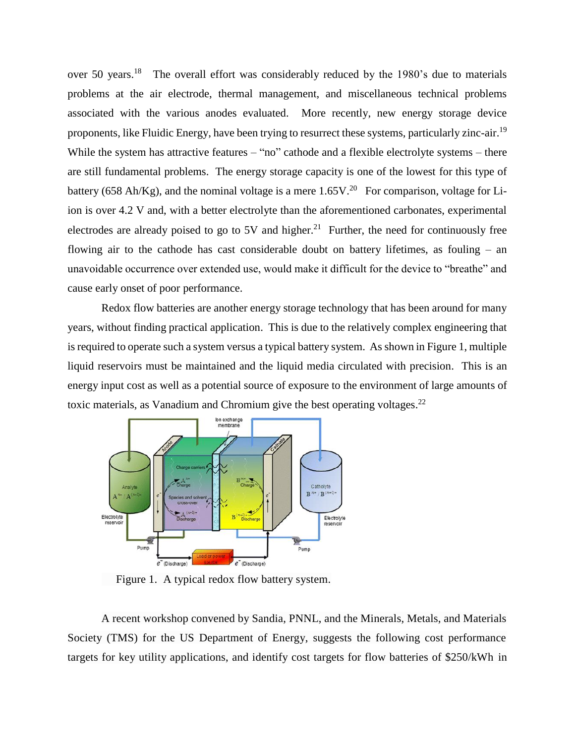over 50 years.<sup>18</sup> The overall effort was considerably reduced by the 1980's due to materials problems at the air electrode, thermal management, and miscellaneous technical problems associated with the various anodes evaluated. More recently, new energy storage device proponents, like Fluidic Energy, have been trying to resurrect these systems, particularly zinc-air.<sup>19</sup> While the system has attractive features – "no" cathode and a flexible electrolyte systems – there are still fundamental problems. The energy storage capacity is one of the lowest for this type of battery (658 Ah/Kg), and the nominal voltage is a mere  $1.65V<sup>20</sup>$  For comparison, voltage for Liion is over 4.2 V and, with a better electrolyte than the aforementioned carbonates, experimental electrodes are already poised to go to 5V and higher.<sup>21</sup> Further, the need for continuously free flowing air to the cathode has cast considerable doubt on battery lifetimes, as fouling – an unavoidable occurrence over extended use, would make it difficult for the device to "breathe" and cause early onset of poor performance.

Redox flow batteries are another energy storage technology that has been around for many years, without finding practical application. This is due to the relatively complex engineering that is required to operate such a system versus a typical battery system. As shown in Figure 1, multiple liquid reservoirs must be maintained and the liquid media circulated with precision. This is an energy input cost as well as a potential source of exposure to the environment of large amounts of toxic materials, as Vanadium and Chromium give the best operating voltages.<sup>22</sup>



Figure 1. A typical redox flow battery system.

A recent workshop convened by Sandia, PNNL, and the Minerals, Metals, and Materials Society (TMS) for the US Department of Energy, suggests the following cost performance targets for key utility applications, and identify cost targets for flow batteries of \$250/kWh in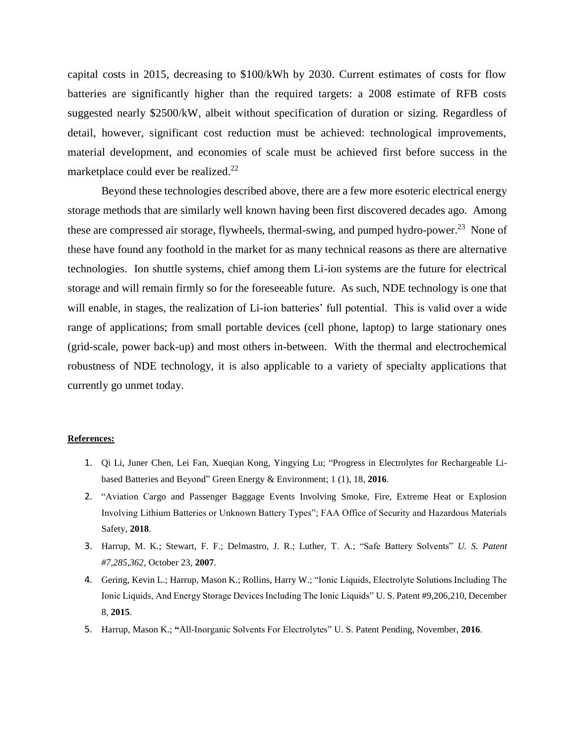capital costs in 2015, decreasing to \$100/kWh by 2030. Current estimates of costs for flow batteries are significantly higher than the required targets: a 2008 estimate of RFB costs suggested nearly \$2500/kW, albeit without specification of duration or sizing. Regardless of detail, however, significant cost reduction must be achieved: technological improvements, material development, and economies of scale must be achieved first before success in the marketplace could ever be realized. $^{22}$ 

Beyond these technologies described above, there are a few more esoteric electrical energy storage methods that are similarly well known having been first discovered decades ago. Among these are compressed air storage, flywheels, thermal-swing, and pumped hydro-power.<sup>23</sup> None of these have found any foothold in the market for as many technical reasons as there are alternative technologies. Ion shuttle systems, chief among them Li-ion systems are the future for electrical storage and will remain firmly so for the foreseeable future. As such, NDE technology is one that will enable, in stages, the realization of Li-ion batteries' full potential. This is valid over a wide range of applications; from small portable devices (cell phone, laptop) to large stationary ones (grid-scale, power back-up) and most others in-between. With the thermal and electrochemical robustness of NDE technology, it is also applicable to a variety of specialty applications that currently go unmet today.

## **References:**

- 1. Qi [Li, Juner](https://www.sciencedirect.com/science/article/pii/S2468025716300218#!) Chen, Lei [Fan, Xueqian](https://www.sciencedirect.com/science/article/pii/S2468025716300218#!) Kong, [Yingying](https://www.sciencedirect.com/science/article/pii/S2468025716300218#!) Lu; "Progress in Electrolytes for Rechargeable Libased Batteries and Beyond" [Green Energy & Environment;](https://www.sciencedirect.com/science/journal/24680257) 1 (1), 18, **2016**.
- 2. "Aviation Cargo and Passenger Baggage Events Involving Smoke, Fire, Extreme Heat or Explosion Involving Lithium Batteries or Unknown Battery Types"; FAA Office of Security and Hazardous Materials Safety, **2018**.
- 3. Harrup, M. K.; Stewart, F. F.; Delmastro, J. R.; Luther, T. A.; "Safe Battery Solvents" *U. S. Patent #7,285,362,* October 23, **2007**.
- 4. Gering, Kevin L.; Harrup, Mason K.; Rollins, Harry W.; "Ionic Liquids, Electrolyte Solutions Including The Ionic Liquids, And Energy Storage Devices Including The Ionic Liquids" U. S. Patent #9,206,210, December 8, **2015**.
- 5. Harrup, Mason K.; **"**All-Inorganic Solvents For Electrolytes" U. S. Patent Pending, November, **2016**.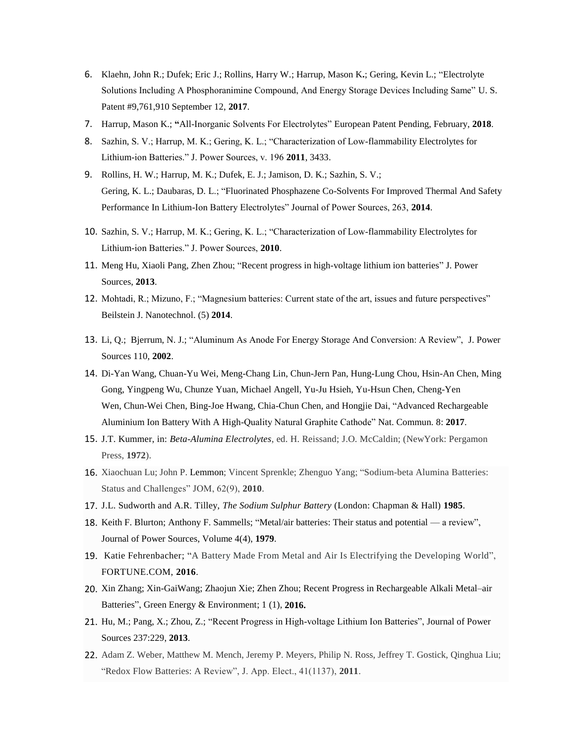- 6. Klaehn, John R.; Dufek; Eric J.; Rollins, Harry W.; Harrup, Mason K**.**; Gering, Kevin L.; "Electrolyte Solutions Including A Phosphoranimine Compound, And Energy Storage Devices Including Same" U. S. Patent #9,761,910 September 12, **2017**.
- 7. Harrup, Mason K.; **"**All-Inorganic Solvents For Electrolytes" European Patent Pending, February, **2018**.
- 8. Sazhin, S. V.; Harrup, M. K.; Gering, K. L.; "Characterization of Low-flammability Electrolytes for Lithium-ion Batteries." J. Power Sources, v. 196 **2011**, 3433.
- 9. Rollins, H. W.; Harrup, M. K.; Dufek, E. J.; Jamison, D. K.; Sazhin, S. V.; Gering, K. L.; Daubaras, D. L.; "Fluorinated Phosphazene Co-Solvents For Improved Thermal And Safety Performance In Lithium-Ion Battery Electrolytes" Journal of Power Sources, 263, **2014**.
- 10. Sazhin, S. V.; Harrup, M. K.; Gering, K. L.; "Characterization of Low-flammability Electrolytes for Lithium-ion Batteries." J. Power Sources, **2010**.
- 11. [Meng](https://www.sciencedirect.com/science/article/pii/S0378775313004059#!) Hu, [Xiaoli](https://www.sciencedirect.com/science/article/pii/S0378775313004059#!) Pang, Zhen [Zhou;](https://www.sciencedirect.com/science/article/pii/S0378775313004059#!) "Recent progress in high-voltage lithium ion batteries" J. Power Sources, **2013**.
- 12. Mohtadi, R.; Mizuno, F.; "Magnesium batteries: Current state of the art, issues and future perspectives" Beilstein J. Nanotechnol. (5) **2014**.
- 13. Li, Q.; Bjerrum, N. J.; "Aluminum As Anode For Energy Storage And Conversion: A Review", J. Power Sources 110, **2002**.
- 14. [Di-Yan Wang,](https://www.ncbi.nlm.nih.gov/pubmed/?term=Wang%20DY%5BAuthor%5D&cauthor=true&cauthor_uid=28194027) [Chuan-Yu Wei,](https://www.ncbi.nlm.nih.gov/pubmed/?term=Wei%20CY%5BAuthor%5D&cauthor=true&cauthor_uid=28194027) [Meng-Chang Lin,](https://www.ncbi.nlm.nih.gov/pubmed/?term=Lin%20MC%5BAuthor%5D&cauthor=true&cauthor_uid=28194027) [Chun-Jern Pan,](https://www.ncbi.nlm.nih.gov/pubmed/?term=Pan%20CJ%5BAuthor%5D&cauthor=true&cauthor_uid=28194027) [Hung-Lung Chou,](https://www.ncbi.nlm.nih.gov/pubmed/?term=Chou%20HL%5BAuthor%5D&cauthor=true&cauthor_uid=28194027) [Hsin-An Chen,](https://www.ncbi.nlm.nih.gov/pubmed/?term=Chen%20HA%5BAuthor%5D&cauthor=true&cauthor_uid=28194027) [Ming](https://www.ncbi.nlm.nih.gov/pubmed/?term=Gong%20M%5BAuthor%5D&cauthor=true&cauthor_uid=28194027)  [Gong,](https://www.ncbi.nlm.nih.gov/pubmed/?term=Gong%20M%5BAuthor%5D&cauthor=true&cauthor_uid=28194027) [Yingpeng Wu,](https://www.ncbi.nlm.nih.gov/pubmed/?term=Wu%20Y%5BAuthor%5D&cauthor=true&cauthor_uid=28194027) [Chunze Yuan,](https://www.ncbi.nlm.nih.gov/pubmed/?term=Yuan%20C%5BAuthor%5D&cauthor=true&cauthor_uid=28194027) [Michael Angell,](https://www.ncbi.nlm.nih.gov/pubmed/?term=Angell%20M%5BAuthor%5D&cauthor=true&cauthor_uid=28194027) [Yu-Ju Hsieh,](https://www.ncbi.nlm.nih.gov/pubmed/?term=Hsieh%20YJ%5BAuthor%5D&cauthor=true&cauthor_uid=28194027) [Yu-Hsun Chen,](https://www.ncbi.nlm.nih.gov/pubmed/?term=Chen%20YH%5BAuthor%5D&cauthor=true&cauthor_uid=28194027) [Cheng-Yen](https://www.ncbi.nlm.nih.gov/pubmed/?term=Wen%20CY%5BAuthor%5D&cauthor=true&cauthor_uid=28194027)  [Wen,](https://www.ncbi.nlm.nih.gov/pubmed/?term=Wen%20CY%5BAuthor%5D&cauthor=true&cauthor_uid=28194027) [Chun-Wei Chen,](https://www.ncbi.nlm.nih.gov/pubmed/?term=Chen%20CW%5BAuthor%5D&cauthor=true&cauthor_uid=28194027) [Bing-Joe Hwang,](https://www.ncbi.nlm.nih.gov/pubmed/?term=Hwang%20BJ%5BAuthor%5D&cauthor=true&cauthor_uid=28194027) [Chia-Chun](https://www.ncbi.nlm.nih.gov/pubmed/?term=Chen%20CC%5BAuthor%5D&cauthor=true&cauthor_uid=28194027) Chen, and [Hongjie Dai,](https://www.ncbi.nlm.nih.gov/pubmed/?term=Dai%20H%5BAuthor%5D&cauthor=true&cauthor_uid=28194027) "Advanced Rechargeable Aluminium Ion Battery With A High-Quality Natural Graphite Cathode" [Nat. Commun.](https://www.ncbi.nlm.nih.gov/pmc/articles/PMC5316828/) 8: **2017**.
- 15. J.T. Kummer, in: *Beta-Alumina Electrolytes*, ed. H. Reissand; J.O. McCaldin; (NewYork: Pergamon Press, **1972**).
- 16. Xiaochuan Lu; John P. Lemmon; Vincent Sprenkle; Zhenguo Yang; "Sodium-beta Alumina Batteries: Status and Challenges" JOM, 62(9), **2010**.
- 17. J.L. Sudworth and A.R. Tilley, *The Sodium Sulphur Battery* (London: Chapman & Hall) **1985**.
- 18. Keith F. [Blurton;](https://www.sciencedirect.com/science/article/pii/0378775379800014#!) Anthony F. Sammells; "Metal/air batteries: Their status and potential a review", Journal of [Power Sources,](https://www.sciencedirect.com/science/journal/03787753) Volume 4(4), **1979**.
- 19. Katie Fehrenbacher; "A Battery Made From Metal and Air Is Electrifying the Developing World", FORTUNE.COM, **2016**.
- 20. Xin Zhang; Xin-GaiWang; Zhaojun Xie; Zhen Zhou; Recent Progress in Rechargeable Alkali Metal–air Batteries", [Green Energy & Environment;](https://www.sciencedirect.com/science/journal/24680257) 1 (1), **2016.**
- 21. Hu, M.; Pang, X.; Zhou, Z.; "Recent Progress in High-voltage Lithium Ion Batteries", [Journal of Power](https://www.researchgate.net/journal/0378-7753_Journal_of_Power_Sources)  [Sources](https://www.researchgate.net/journal/0378-7753_Journal_of_Power_Sources) 237:229, **2013**.
- 22. Adam Z. Weber, Matthew M. Mench, Jeremy P. Meyers, Philip N. Ross, Jeffrey T. Gostick, Qinghua Liu; "Redox Flow Batteries: A Review", J. App. Elect., 41(1137), **2011**.